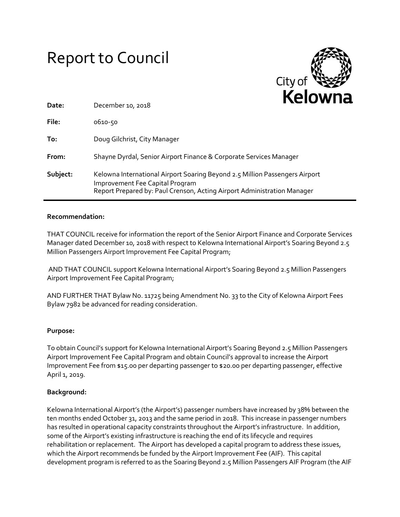# Report to Council



| Date:    | December 10, 2018                                                                                                                                                                         |
|----------|-------------------------------------------------------------------------------------------------------------------------------------------------------------------------------------------|
| File:    | 0610-50                                                                                                                                                                                   |
| To:      | Doug Gilchrist, City Manager                                                                                                                                                              |
| From:    | Shayne Dyrdal, Senior Airport Finance & Corporate Services Manager                                                                                                                        |
| Subject: | Kelowna International Airport Soaring Beyond 2.5 Million Passengers Airport<br>Improvement Fee Capital Program<br>Report Prepared by: Paul Crenson, Acting Airport Administration Manager |

#### **Recommendation:**

THAT COUNCIL receive for information the report of the Senior Airport Finance and Corporate Services Manager dated December 10, 2018 with respect to Kelowna International Airport's Soaring Beyond 2.5 Million Passengers Airport Improvement Fee Capital Program;

AND THAT COUNCIL support Kelowna International Airport's Soaring Beyond 2.5 Million Passengers Airport Improvement Fee Capital Program;

AND FURTHER THAT Bylaw No. 11725 being Amendment No. 33 to the City of Kelowna Airport Fees Bylaw 7982 be advanced for reading consideration.

## **Purpose:**

To obtain Council's support for Kelowna International Airport's Soaring Beyond 2.5 Million Passengers Airport Improvement Fee Capital Program and obtain Council's approval to increase the Airport Improvement Fee from \$15.00 per departing passenger to \$20.00 per departing passenger, effective April 1, 2019.

#### **Background:**

Kelowna International Airport's (the Airport's) passenger numbers have increased by 38% between the ten months ended October 31, 2013 and the same period in 2018. This increase in passenger numbers has resulted in operational capacity constraints throughout the Airport's infrastructure. In addition, some of the Airport's existing infrastructure is reaching the end of its lifecycle and requires rehabilitation or replacement. The Airport has developed a capital program to address these issues, which the Airport recommends be funded by the Airport Improvement Fee (AIF). This capital development program is referred to as the Soaring Beyond 2.5 Million Passengers AIF Program (the AIF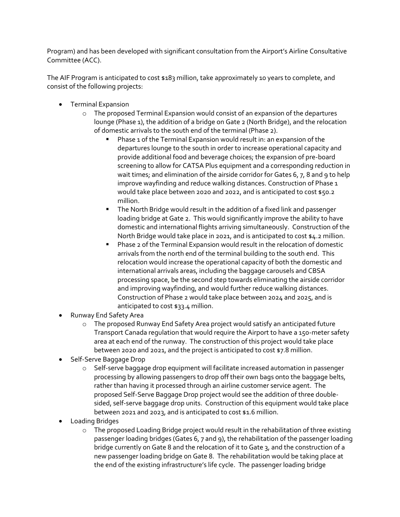Program) and has been developed with significant consultation from the Airport's Airline Consultative Committee (ACC).

The AIF Program is anticipated to cost \$183 million, take approximately 10 years to complete, and consist of the following projects:

- **•** Terminal Expansion
	- o The proposed Terminal Expansion would consist of an expansion of the departures lounge (Phase 1), the addition of a bridge on Gate 2 (North Bridge), and the relocation of domestic arrivals to the south end of the terminal (Phase 2).
		- Phase 1 of the Terminal Expansion would result in: an expansion of the departures lounge to the south in order to increase operational capacity and provide additional food and beverage choices; the expansion of pre-board screening to allow for CATSA Plus equipment and a corresponding reduction in wait times; and elimination of the airside corridor for Gates 6, 7, 8 and 9 to help improve wayfinding and reduce walking distances. Construction of Phase 1 would take place between 2020 and 2022, and is anticipated to cost \$50.2 million.
		- The North Bridge would result in the addition of a fixed link and passenger loading bridge at Gate 2. This would significantly improve the ability to have domestic and international flights arriving simultaneously. Construction of the North Bridge would take place in 2021, and is anticipated to cost \$4.2 million.
		- Phase 2 of the Terminal Expansion would result in the relocation of domestic arrivals from the north end of the terminal building to the south end. This relocation would increase the operational capacity of both the domestic and international arrivals areas, including the baggage carousels and CBSA processing space, be the second step towards eliminating the airside corridor and improving wayfinding, and would further reduce walking distances. Construction of Phase 2 would take place between 2024 and 2025, and is anticipated to cost \$33.4 million.
- Runway End Safety Area
	- o The proposed Runway End Safety Area project would satisfy an anticipated future Transport Canada regulation that would require the Airport to have a 150-meter safety area at each end of the runway. The construction of this project would take place between 2020 and 2021, and the project is anticipated to cost \$7.8 million.
- Self-Serve Baggage Drop
	- o Self-serve baggage drop equipment will facilitate increased automation in passenger processing by allowing passengers to drop off their own bags onto the baggage belts, rather than having it processed through an airline customer service agent. The proposed Self-Serve Baggage Drop project would see the addition of three doublesided, self-serve baggage drop units. Construction of this equipment would take place between 2021 and 2023, and is anticipated to cost \$1.6 million.
- Loading Bridges
	- o The proposed Loading Bridge project would result in the rehabilitation of three existing passenger loading bridges (Gates 6, 7 and 9), the rehabilitation of the passenger loading bridge currently on Gate 8 and the relocation of it to Gate 3, and the construction of a new passenger loading bridge on Gate 8. The rehabilitation would be taking place at the end of the existing infrastructure's life cycle. The passenger loading bridge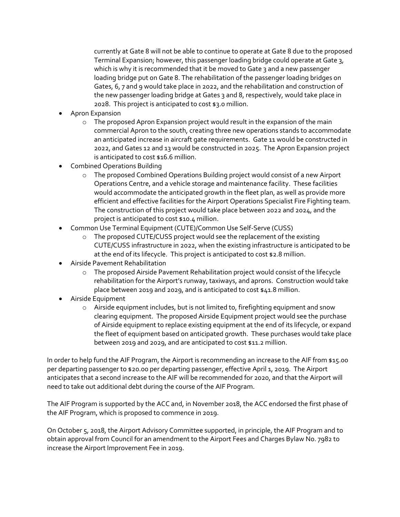currently at Gate 8 will not be able to continue to operate at Gate 8 due to the proposed Terminal Expansion; however, this passenger loading bridge could operate at Gate 3, which is why it is recommended that it be moved to Gate 3 and a new passenger loading bridge put on Gate 8. The rehabilitation of the passenger loading bridges on Gates, 6, 7 and 9 would take place in 2022, and the rehabilitation and construction of the new passenger loading bridge at Gates 3 and 8, respectively, would take place in 2028. This project is anticipated to cost \$3.0 million.

- Apron Expansion
	- $\circ$  The proposed Apron Expansion project would result in the expansion of the main commercial Apron to the south, creating three new operations stands to accommodate an anticipated increase in aircraft gate requirements. Gate 11 would be constructed in 2022, and Gates 12 and 13 would be constructed in 2025. The Apron Expansion project is anticipated to cost \$16.6 million.
- Combined Operations Building
	- o The proposed Combined Operations Building project would consist of a new Airport Operations Centre, and a vehicle storage and maintenance facility. These facilities would accommodate the anticipated growth in the fleet plan, as well as provide more efficient and effective facilities for the Airport Operations Specialist Fire Fighting team. The construction of this project would take place between 2022 and 2024, and the project is anticipated to cost \$10.4 million.
- Common Use Terminal Equipment (CUTE)/Common Use Self-Serve (CUSS)
	- o The proposed CUTE/CUSS project would see the replacement of the existing CUTE/CUSS infrastructure in 2022, when the existing infrastructure is anticipated to be at the end of its lifecycle. This project is anticipated to cost \$2.8 million.
- Airside Pavement Rehabilitation
	- o The proposed Airside Pavement Rehabilitation project would consist of the lifecycle rehabilitation for the Airport's runway, taxiways, and aprons. Construction would take place between 2019 and 2029, and is anticipated to cost \$41.8 million.
- Airside Equipment
	- $\circ$  Airside equipment includes, but is not limited to, firefighting equipment and snow clearing equipment. The proposed Airside Equipment project would see the purchase of Airside equipment to replace existing equipment at the end of its lifecycle, or expand the fleet of equipment based on anticipated growth. These purchases would take place between 2019 and 2029, and are anticipated to cost \$11.2 million.

In order to help fund the AIF Program, the Airport is recommending an increase to the AIF from \$15.00 per departing passenger to \$20.00 per departing passenger, effective April 1, 2019. The Airport anticipates that a second increase to the AIF will be recommended for 2020, and that the Airport will need to take out additional debt during the course of the AIF Program.

The AIF Program is supported by the ACC and, in November 2018, the ACC endorsed the first phase of the AIF Program, which is proposed to commence in 2019.

On October 5, 2018, the Airport Advisory Committee supported, in principle, the AIF Program and to obtain approval from Council for an amendment to the Airport Fees and Charges Bylaw No. 7982 to increase the Airport Improvement Fee in 2019.